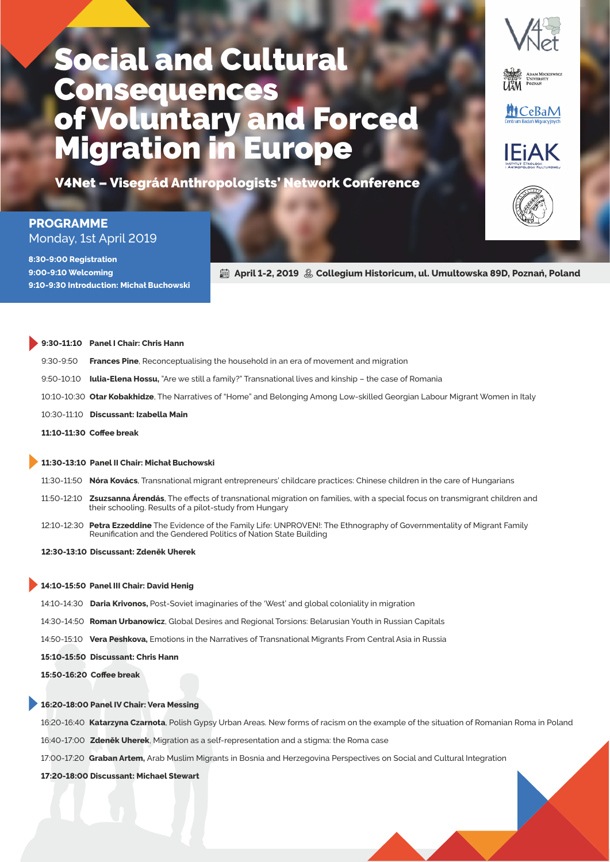# Social and Cultural **Consequences** of Voluntary and Forced Migration in Europe

V4Net - Visegrád Anthropologists' Network Conference

### **PROGRAMME** Monday, 1st April 2019

8:30-9:00 Registration 9:00-9:10 Welcoming **9:10-9:30 Introduction: Michał Buchowski** 

**ed April 1-2, 2019 . 20 Collegium Historicum, ul. Umultowska 89D, Poznań, Poland** 

|            | 9:30-11:10 Panel I Chair: Chris Hann                                                                                         |
|------------|------------------------------------------------------------------------------------------------------------------------------|
| 9:30-9:50  | <b>Frances Pine</b> , Reconceptualising the household in an era of movement and migration                                    |
| 9:50-10:10 | <b>Iulia-Elena Hossu</b> , "Are we still a family?" Transnational lives and kinship – the case of Romania                    |
|            | 10:10-10:30 Otar Kobakhidze, The Narratives of "Home" and Belonging Among Low-skilled Georgian Labour Migrant Women in Italy |
|            | 10:30-11:10 Discussant: Izabella Main                                                                                        |
|            | 11:10-11:30 Coffee break                                                                                                     |
|            |                                                                                                                              |

### 11:30-13:10 Panel II Chair: Michał Buchowski

:-: **Nóra Kovács**, Transnational migrant entrepreneurs' childcare practices: Chinese children in the care of Hungarians

- 11:50-12:10 **Zsuzsanna Árendás**, The effects of transnational migration on families, with a special focus on transmigrant children and their schooling. Results of a pilot-study from Hungary
- 12:10-12:30 Petra Ezzeddine The Evidence of the Family Life: UNPROVEN!: The Ethnography of Governmentality of Migrant Family Reunification and the Gendered Politics of Nation State Building

**:-: Discussant: Zdeněk Uherek**

#### 14:10-15:50 Panel III Chair: David Henig

- :-: **Daria Krivonos,** Post-Soviet imaginaries of the 'West' and global coloniality in migration
- :-: **Roman Urbanowicz**, Global Desires and Regional Torsions: Belarusian Youth in Russian Capitals
- 14:50-15:10 Vera Peshkova, Emotions in the Narratives of Transnational Migrants From Central Asia in Russia
- 15:10-15:50 Discussant: Chris Hann

15:50-16:20 Coffee break

### 16:20-18:00 Panel IV Chair: Vera Messing

16:20-16:40 Katarzyna Czarnota, Polish Gypsy Urban Areas. New forms of racism on the example of the situation of Romanian Roma in Poland

16:40-17:00 Zdeněk Uherek, Migration as a self-representation and a stigma: the Roma case

17:00-17:20 Graban Artem, Arab Muslim Migrants in Bosnia and Herzegovina Perspectives on Social and Cultural Integration

17:20-18:00 Discussant: Michael Stewart



**MCeBaM** 

**IFIAK**